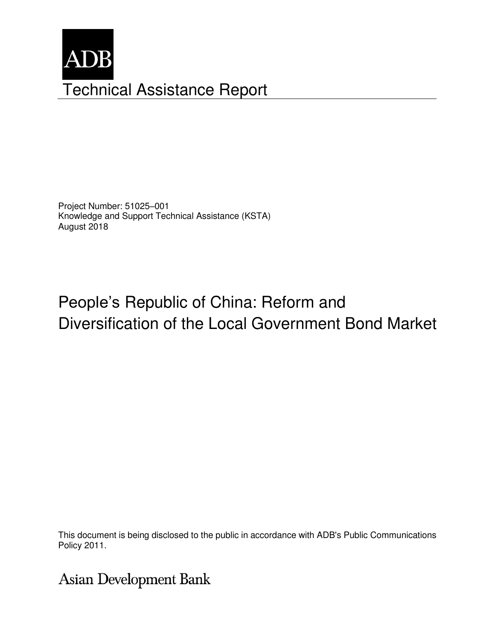

Project Number: 51025–001 Knowledge and Support Technical Assistance (KSTA) August 2018

# People's Republic of China: Reform and Diversification of the Local Government Bond Market

This document is being disclosed to the public in accordance with ADB's Public Communications members, Board of Directors, Management, or staff, and may be preliminary in nature. Policy 2011.

**Asian Development Bank**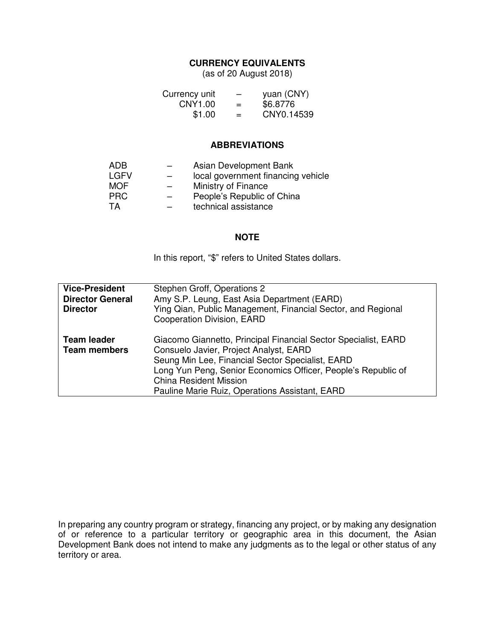## **CURRENCY EQUIVALENTS**

(as of 20 August 2018)

| Currency unit | $\qquad \qquad$ | yuan (CNY) |
|---------------|-----------------|------------|
| CNY1.00       | $=$             | \$6.8776   |
| \$1.00        | $=$             | CNY0.14539 |

#### **ABBREVIATIONS**

| ADB         |   | Asian Development Bank             |
|-------------|---|------------------------------------|
| <b>LGFV</b> |   | local government financing vehicle |
| <b>MOF</b>  |   | Ministry of Finance                |
| <b>PRC</b>  | - | People's Republic of China         |
| TA          |   | technical assistance               |

#### **NOTE**

In this report, "\$" refers to United States dollars.

| <b>Vice-President</b><br><b>Director General</b><br><b>Director</b> | Stephen Groff, Operations 2<br>Amy S.P. Leung, East Asia Department (EARD)<br>Ying Qian, Public Management, Financial Sector, and Regional<br><b>Cooperation Division, EARD</b>                                                                                                                                  |
|---------------------------------------------------------------------|------------------------------------------------------------------------------------------------------------------------------------------------------------------------------------------------------------------------------------------------------------------------------------------------------------------|
| <b>Team leader</b><br><b>Team members</b>                           | Giacomo Giannetto, Principal Financial Sector Specialist, EARD<br>Consuelo Javier, Project Analyst, EARD<br>Seung Min Lee, Financial Sector Specialist, EARD<br>Long Yun Peng, Senior Economics Officer, People's Republic of<br><b>China Resident Mission</b><br>Pauline Marie Ruiz, Operations Assistant, EARD |

In preparing any country program or strategy, financing any project, or by making any designation of or reference to a particular territory or geographic area in this document, the Asian Development Bank does not intend to make any judgments as to the legal or other status of any territory or area.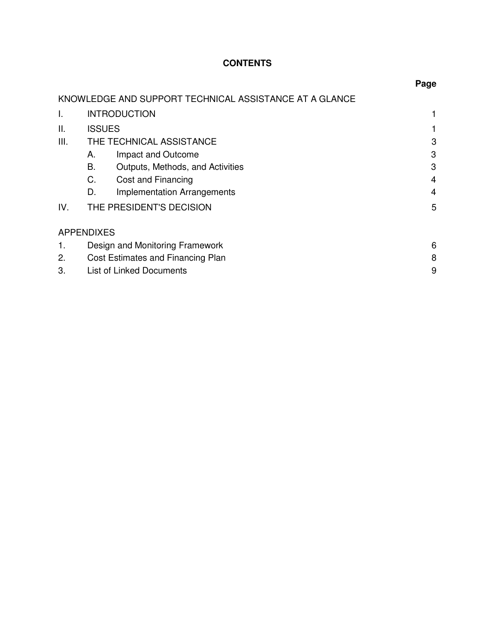# **CONTENTS**

|      |                                   |                                                        | Page |
|------|-----------------------------------|--------------------------------------------------------|------|
|      |                                   | KNOWLEDGE AND SUPPORT TECHNICAL ASSISTANCE AT A GLANCE |      |
| I.   |                                   | <b>INTRODUCTION</b>                                    |      |
| Ш.   | <b>ISSUES</b>                     |                                                        |      |
| III. |                                   | THE TECHNICAL ASSISTANCE                               | 3    |
|      | А.                                | Impact and Outcome                                     | 3    |
|      | В.                                | Outputs, Methods, and Activities                       | 3    |
|      | C.                                | Cost and Financing                                     | 4    |
|      | D.                                | <b>Implementation Arrangements</b>                     | 4    |
| IV.  |                                   | THE PRESIDENT'S DECISION                               | 5    |
|      | <b>APPENDIXES</b>                 |                                                        |      |
|      | Design and Monitoring Framework   |                                                        | 6    |
| 2.   | Cost Estimates and Financing Plan |                                                        | 8    |
| 3.   |                                   | <b>List of Linked Documents</b>                        | 9    |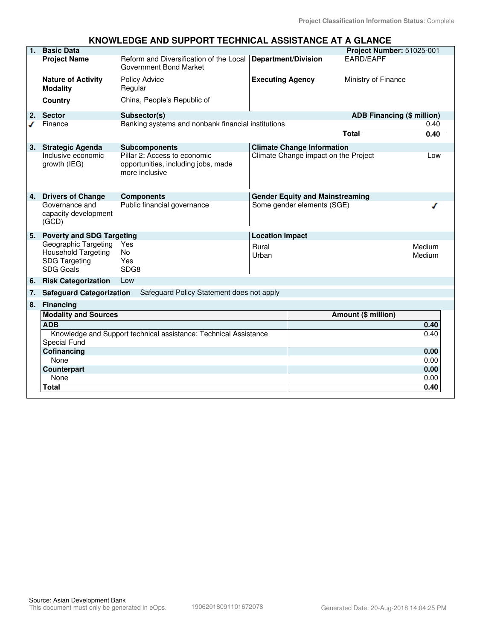#### **KNOWLEDGE AND SUPPORT TECHNICAL ASSISTANCE AT A GLANCE**

| 1. | <b>Basic Data</b>                                                                       |                                                                                       |                            |                                        | Project Number: 51025-001         |                  |
|----|-----------------------------------------------------------------------------------------|---------------------------------------------------------------------------------------|----------------------------|----------------------------------------|-----------------------------------|------------------|
|    | <b>Project Name</b>                                                                     | Reform and Diversification of the Local<br>Government Bond Market                     | <b>Department/Division</b> |                                        | EARD/EAPF                         |                  |
|    | <b>Nature of Activity</b><br><b>Modality</b>                                            | <b>Policy Advice</b><br>Regular                                                       | <b>Executing Agency</b>    |                                        | Ministry of Finance               |                  |
|    | Country                                                                                 | China, People's Republic of                                                           |                            |                                        |                                   |                  |
| 2. | <b>Sector</b>                                                                           | Subsector(s)                                                                          |                            |                                        | <b>ADB Financing (\$ million)</b> |                  |
|    | Finance                                                                                 | Banking systems and nonbank financial institutions                                    |                            |                                        |                                   | 0.40             |
|    |                                                                                         |                                                                                       |                            |                                        | <b>Total</b>                      | 0.40             |
| 3. | <b>Strategic Agenda</b>                                                                 | <b>Subcomponents</b>                                                                  |                            | <b>Climate Change Information</b>      |                                   |                  |
|    | Inclusive economic<br>growth (IEG)                                                      | Pillar 2: Access to economic<br>opportunities, including jobs, made<br>more inclusive |                            | Climate Change impact on the Project   |                                   | Low              |
| 4. | <b>Drivers of Change</b>                                                                | <b>Components</b>                                                                     |                            | <b>Gender Equity and Mainstreaming</b> |                                   |                  |
|    | Governance and<br>capacity development<br>(GCD)                                         | Public financial governance                                                           |                            | Some gender elements (SGE)             |                                   |                  |
| 5. | <b>Poverty and SDG Targeting</b>                                                        |                                                                                       | <b>Location Impact</b>     |                                        |                                   |                  |
|    | Geographic Targeting<br><b>Household Targeting</b><br><b>SDG Targeting</b><br>SDG Goals | Yes<br><b>No</b><br>Yes<br>SDG8                                                       | Rural<br>Urban             |                                        |                                   | Medium<br>Medium |
| 6. | <b>Risk Categorization</b>                                                              | Low                                                                                   |                            |                                        |                                   |                  |
| 7. | <b>Safeguard Categorization</b>                                                         | Safeguard Policy Statement does not apply                                             |                            |                                        |                                   |                  |
| 8. | <b>Financing</b>                                                                        |                                                                                       |                            |                                        |                                   |                  |
|    | <b>Modality and Sources</b>                                                             |                                                                                       |                            |                                        | Amount (\$ million)               |                  |
|    | <b>ADB</b>                                                                              |                                                                                       |                            |                                        |                                   | 0.40             |
|    | Knowledge and Support technical assistance: Technical Assistance                        |                                                                                       |                            |                                        |                                   | 0.40             |
|    | Special Fund                                                                            |                                                                                       |                            |                                        |                                   |                  |
|    | Cofinancing<br>None                                                                     |                                                                                       |                            |                                        |                                   | 0.00<br>0.00     |
|    | Counterpart                                                                             |                                                                                       |                            |                                        |                                   | 0.00             |
|    | None                                                                                    |                                                                                       |                            |                                        |                                   | 0.00             |
|    | <b>Total</b>                                                                            |                                                                                       |                            |                                        |                                   | 0.40             |
|    |                                                                                         |                                                                                       |                            |                                        |                                   |                  |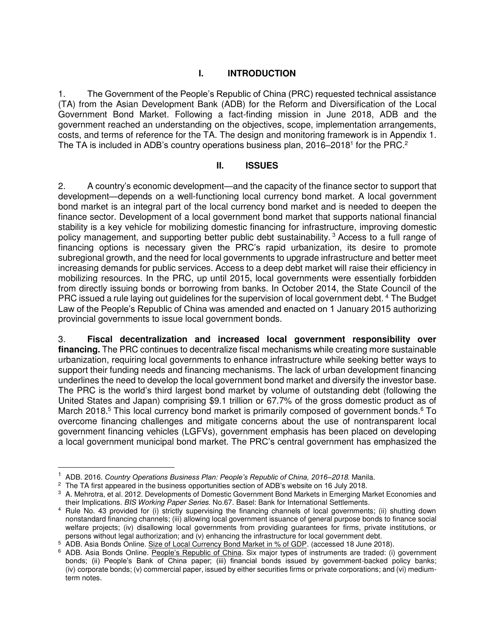## **I. INTRODUCTION**

1. The Government of the People's Republic of China (PRC) requested technical assistance (TA) from the Asian Development Bank (ADB) for the Reform and Diversification of the Local Government Bond Market. Following a fact-finding mission in June 2018, ADB and the government reached an understanding on the objectives, scope, implementation arrangements, costs, and terms of reference for the TA. The design and monitoring framework is in Appendix 1. The TA is included in ADB's country operations business plan, 2016–2018<sup>1</sup> for the PRC.<sup>2</sup>

#### **II. ISSUES**

2. A country's economic development—and the capacity of the finance sector to support that development—depends on a well-functioning local currency bond market. A local government bond market is an integral part of the local currency bond market and is needed to deepen the finance sector. Development of a local government bond market that supports national financial stability is a key vehicle for mobilizing domestic financing for infrastructure, improving domestic policy management, and supporting better public debt sustainability.<sup>3</sup> Access to a full range of financing options is necessary given the PRC's rapid urbanization, its desire to promote subregional growth, and the need for local governments to upgrade infrastructure and better meet increasing demands for public services. Access to a deep debt market will raise their efficiency in mobilizing resources. In the PRC, up until 2015, local governments were essentially forbidden from directly issuing bonds or borrowing from banks. In October 2014, the State Council of the PRC issued a rule laying out guidelines for the supervision of local government debt.<sup>4</sup> The Budget Law of the People's Republic of China was amended and enacted on 1 January 2015 authorizing provincial governments to issue local government bonds.

3. **Fiscal decentralization and increased local government responsibility over financing.** The PRC continues to decentralize fiscal mechanisms while creating more sustainable urbanization, requiring local governments to enhance infrastructure while seeking better ways to support their funding needs and financing mechanisms. The lack of urban development financing underlines the need to develop the local government bond market and diversify the investor base. The PRC is the world's third largest bond market by volume of outstanding debt (following the United States and Japan) comprising \$9.1 trillion or 67.7% of the gross domestic product as of March 2018.<sup>5</sup> This local currency bond market is primarily composed of government bonds.<sup>6</sup> To overcome financing challenges and mitigate concerns about the use of nontransparent local government financing vehicles (LGFVs), government emphasis has been placed on developing a local government municipal bond market. The PRC's central government has emphasized the

 $\overline{a}$ 

<sup>1</sup> ADB. 2016. *Country Operations Business Plan: People's Republic of China, 2016–*2018. Manila.

 $^2$  The TA first appeared in the business opportunities section of ADB's website on 16 July 2018.

<sup>3</sup> A. Mehrotra, et al. 2012. Developments of Domestic Government Bond Markets in Emerging Market Economies and their Implications. BIS Working Paper Series. No.67. Basel: Bank for International Settlements.

<sup>4</sup> Rule No. 43 provided for (i) strictly supervising the financing channels of local governments; (ii) shutting down nonstandard financing channels; (iii) allowing local government issuance of general purpose bonds to finance social welfare projects; (iv) disallowing local governments from providing guarantees for firms, private institutions, or persons without legal authorization; and (v) enhancing the infrastructure for local government debt.

<sup>&</sup>lt;sup>5</sup> ADB. Asia Bonds Online[. Size of Local Currency Bond Market in % of GDP.](https://asianbondsonline.adb.org/china/data/bondmarket.php?code=LCY_in_GDP_Local) (accessed 18 June 2018).

<sup>&</sup>lt;sup>6</sup> ADB. Asia Bonds Online. [People's Republic of China](https://asianbondsonline.adb.org/china/structure/overview.php). Six major types of instruments are traded: (i) government bonds; (ii) People's Bank of China paper; (iii) financial bonds issued by government-backed policy banks; (iv) corporate bonds; (v) commercial paper, issued by either securities firms or private corporations; and (vi) mediumterm notes.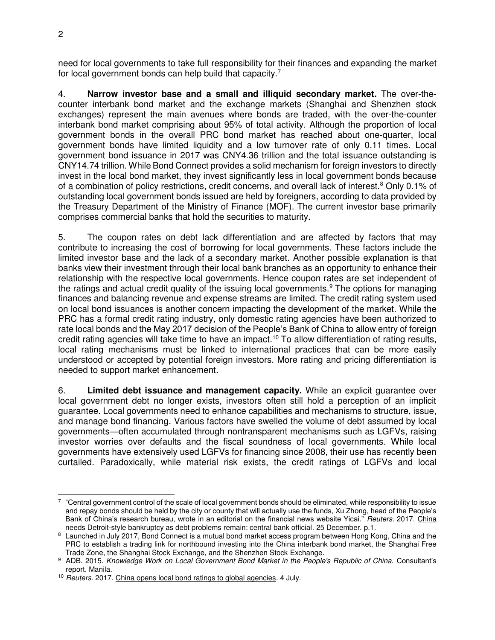need for local governments to take full responsibility for their finances and expanding the market for local government bonds can help build that capacity.<sup>7</sup>

4. **Narrow investor base and a small and illiquid secondary market.** The over-thecounter interbank bond market and the exchange markets (Shanghai and Shenzhen stock exchanges) represent the main avenues where bonds are traded, with the over-the-counter interbank bond market comprising about 95% of total activity. Although the proportion of local government bonds in the overall PRC bond market has reached about one-quarter, local government bonds have limited liquidity and a low turnover rate of only 0.11 times. Local government bond issuance in 2017 was CNY4.36 trillion and the total issuance outstanding is CNY14.74 trillion. While Bond Connect provides a solid mechanism for foreign investors to directly invest in the local bond market, they invest significantly less in local government bonds because of a combination of policy restrictions, credit concerns, and overall lack of interest.<sup>8</sup> Only 0.1% of outstanding local government bonds issued are held by foreigners, according to data provided by the Treasury Department of the Ministry of Finance (MOF). The current investor base primarily comprises commercial banks that hold the securities to maturity.

<span id="page-5-0"></span>5. The coupon rates on debt lack differentiation and are affected by factors that may contribute to increasing the cost of borrowing for local governments. These factors include the limited investor base and the lack of a secondary market. Another possible explanation is that banks view their investment through their local bank branches as an opportunity to enhance their relationship with the respective local governments. Hence coupon rates are set independent of the ratings and actual credit quality of the issuing local governments.<sup>9</sup> The options for managing finances and balancing revenue and expense streams are limited. The credit rating system used on local bond issuances is another concern impacting the development of the market. While the PRC has a formal credit rating industry, only domestic rating agencies have been authorized to rate local bonds and the May 2017 decision of the People's Bank of China to allow entry of foreign credit rating agencies will take time to have an impact.<sup>10</sup> To allow differentiation of rating results, local rating mechanisms must be linked to international practices that can be more easily understood or accepted by potential foreign investors. More rating and pricing differentiation is needed to support market enhancement.

6. **Limited debt issuance and management capacity.** While an explicit guarantee over local government debt no longer exists, investors often still hold a perception of an implicit guarantee. Local governments need to enhance capabilities and mechanisms to structure, issue, and manage bond financing. Various factors have swelled the volume of debt assumed by local governments—often accumulated through nontransparent mechanisms such as LGFVs, raising investor worries over defaults and the fiscal soundness of local governments. While local governments have extensively used LGFVs for financing since 2008, their use has recently been curtailed. Paradoxically, while material risk exists, the credit ratings of LGFVs and local

 $\overline{a}$  $^7$  "Central government control of the scale of local government bonds should be eliminated, while responsibility to issue and repay bonds should be held by the city or county that will actually use the funds, Xu Zhong, head of the People's Bank of China's research bureau, wrote in an editorial on the financial news website Yicai." Reuters. 2017. China [needs Detroit-style bankruptcy as debt problems remain: central bank official.](https://www.reuters.com/article/us-china-economy-debt/china-needs-detroit-style-bankruptcy-as-debt-problems-remain-central-bank-official-idUSKBN1EJ065) 25 December. p.1.

<sup>8</sup> Launched in July 2017, Bond Connect is a mutual bond market access program between Hong Kong, China and the PRC to establish a trading link for northbound investing into the China interbank bond market, the Shanghai Free Trade Zone, the Shanghai Stock Exchange, and the Shenzhen Stock Exchange.

<sup>&</sup>lt;sup>9</sup> ADB. 2015. Knowledge Work on Local Government Bond Market in the People's Republic of China. Consultant's report. Manila.

<sup>&</sup>lt;sup>10</sup> Reuters. 2017. [China opens local bond ratings to global agencies.](https://www.reuters.com/article/china-bonds-ratings/update-1-china-opens-local-bond-ratings-to-global-agencies-idUSL3N1JV2SM) 4 July.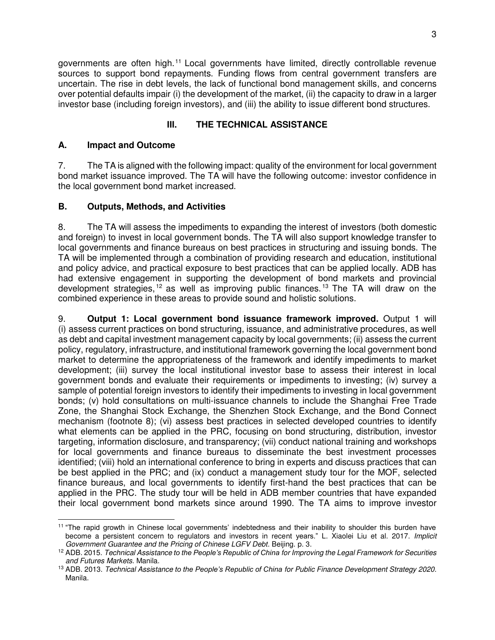governments are often high.<sup>11</sup> Local governments have limited, directly controllable revenue sources to support bond repayments. Funding flows from central government transfers are uncertain. The rise in debt levels, the lack of functional bond management skills, and concerns over potential defaults impair (i) the development of the market, (ii) the capacity to draw in a larger investor base (including foreign investors), and (iii) the ability to issue different bond structures.

# **III. THE TECHNICAL ASSISTANCE**

## **A. Impact and Outcome**

7. The TA is aligned with the following impact: quality of the environment for local government bond market issuance improved. The TA will have the following outcome: investor confidence in the local government bond market increased.

#### **B. Outputs, Methods, and Activities**

8. The TA will assess the impediments to expanding the interest of investors (both domestic and foreign) to invest in local government bonds. The TA will also support knowledge transfer to local governments and finance bureaus on best practices in structuring and issuing bonds. The TA will be implemented through a combination of providing research and education, institutional and policy advice, and practical exposure to best practices that can be applied locally. ADB has had extensive engagement in supporting the development of bond markets and provincial development strategies,  $12$  as well as improving public finances.  $13$  The TA will draw on the combined experience in these areas to provide sound and holistic solutions.

9. **Output 1: Local government bond issuance framework improved.** Output 1 will (i) assess current practices on bond structuring, issuance, and administrative procedures, as well as debt and capital investment management capacity by local governments; (ii) assess the current policy, regulatory, infrastructure, and institutional framework governing the local government bond market to determine the appropriateness of the framework and identify impediments to market development; (iii) survey the local institutional investor base to assess their interest in local government bonds and evaluate their requirements or impediments to investing; (iv) survey a sample of potential foreign investors to identify their impediments to investing in local government bonds; (v) hold consultations on multi-issuance channels to include the Shanghai Free Trade Zone, the Shanghai Stock Exchange, the Shenzhen Stock Exchange, and the Bond Connect mechanism (footnote [8\)](#page-5-0); (vi) assess best practices in selected developed countries to identify what elements can be applied in the PRC, focusing on bond structuring, distribution, investor targeting, information disclosure, and transparency; (vii) conduct national training and workshops for local governments and finance bureaus to disseminate the best investment processes identified; (viii) hold an international conference to bring in experts and discuss practices that can be best applied in the PRC; and (ix) conduct a management study tour for the MOF, selected finance bureaus, and local governments to identify first-hand the best practices that can be applied in the PRC. The study tour will be held in ADB member countries that have expanded their local government bond markets since around 1990. The TA aims to improve investor

 $\overline{a}$ <sup>11</sup> "The rapid growth in Chinese local governments' indebtedness and their inability to shoulder this burden have become a persistent concern to regulators and investors in recent years." L. Xiaolei Liu et al. 2017. Implicit Government Guarantee and the Pricing of Chinese LGFV Debt. Beijing. p. 3.

<sup>12</sup> ADB. 2015. Technical Assistance *to the People's Republic of China* for Improving the Legal Framework for Securities and Futures Markets. Manila.

<sup>13</sup> ADB. 2013. Technical Assistance *to the People's Republic of China* for Public Finance Development Strategy 2020. Manila.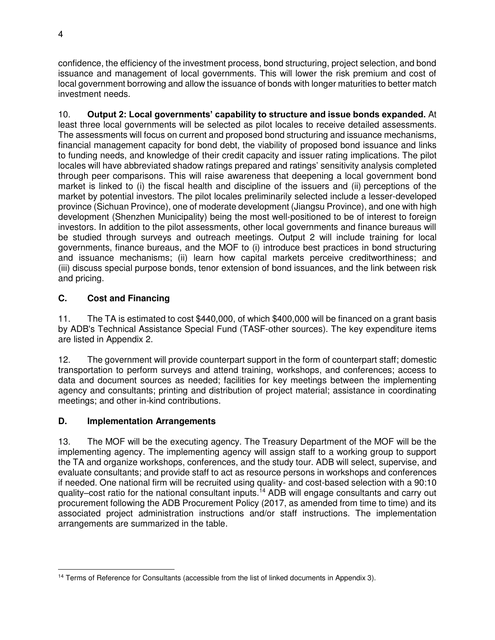confidence, the efficiency of the investment process, bond structuring, project selection, and bond issuance and management of local governments. This will lower the risk premium and cost of local government borrowing and allow the issuance of bonds with longer maturities to better match investment needs.

10. **Output 2: Local governments' capability to structure and issue bonds expanded.** At least three local governments will be selected as pilot locales to receive detailed assessments. The assessments will focus on current and proposed bond structuring and issuance mechanisms, financial management capacity for bond debt, the viability of proposed bond issuance and links to funding needs, and knowledge of their credit capacity and issuer rating implications. The pilot locales will have abbreviated shadow ratings prepared and ratings' sensitivity analysis completed through peer comparisons. This will raise awareness that deepening a local government bond market is linked to (i) the fiscal health and discipline of the issuers and (ii) perceptions of the market by potential investors. The pilot locales preliminarily selected include a lesser-developed province (Sichuan Province), one of moderate development (Jiangsu Province), and one with high development (Shenzhen Municipality) being the most well-positioned to be of interest to foreign investors. In addition to the pilot assessments, other local governments and finance bureaus will be studied through surveys and outreach meetings. Output 2 will include training for local governments, finance bureaus, and the MOF to (i) introduce best practices in bond structuring and issuance mechanisms; (ii) learn how capital markets perceive creditworthiness; and (iii) discuss special purpose bonds, tenor extension of bond issuances, and the link between risk and pricing.

# **C. Cost and Financing**

11. The TA is estimated to cost \$440,000, of which \$400,000 will be financed on a grant basis by ADB's Technical Assistance Special Fund (TASF-other sources). The key expenditure items are listed in Appendix 2.

12. The government will provide counterpart support in the form of counterpart staff; domestic transportation to perform surveys and attend training, workshops, and conferences; access to data and document sources as needed; facilities for key meetings between the implementing agency and consultants; printing and distribution of project material; assistance in coordinating meetings; and other in-kind contributions.

## **D. Implementation Arrangements**

13. The MOF will be the executing agency. The Treasury Department of the MOF will be the implementing agency. The implementing agency will assign staff to a working group to support the TA and organize workshops, conferences, and the study tour. ADB will select, supervise, and evaluate consultants; and provide staff to act as resource persons in workshops and conferences if needed. One national firm will be recruited using quality- and cost-based selection with a 90:10 quality–cost ratio for the national consultant inputs.<sup>14</sup> ADB will engage consultants and carry out procurement following the ADB Procurement Policy (2017, as amended from time to time) and its associated project administration instructions and/or staff instructions. The implementation arrangements are summarized in the table.

 $\overline{a}$ <sup>14</sup> Terms of Reference for Consultants (accessible from the list of linked documents in Appendix 3).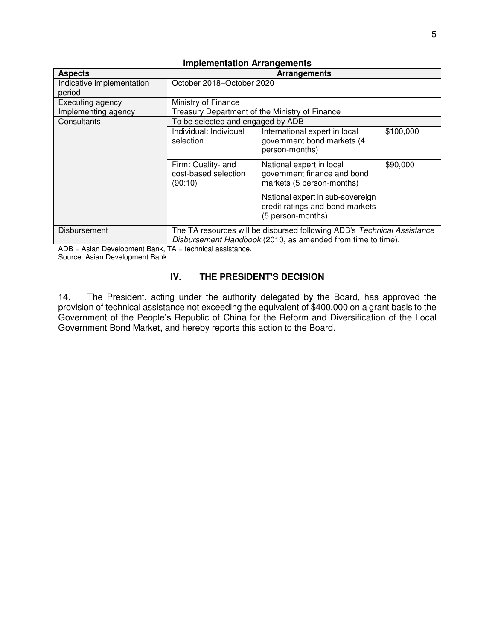| <b>Aspects</b>                                   | <b>Arrangements</b>                                                                                                                    |                                                                                          |           |  |
|--------------------------------------------------|----------------------------------------------------------------------------------------------------------------------------------------|------------------------------------------------------------------------------------------|-----------|--|
| Indicative implementation                        | October 2018-October 2020                                                                                                              |                                                                                          |           |  |
| period                                           |                                                                                                                                        |                                                                                          |           |  |
| Executing agency                                 | Ministry of Finance                                                                                                                    |                                                                                          |           |  |
| Implementing agency                              |                                                                                                                                        | Treasury Department of the Ministry of Finance                                           |           |  |
| Consultants<br>To be selected and engaged by ADB |                                                                                                                                        |                                                                                          |           |  |
|                                                  | Individual: Individual<br>selection                                                                                                    | International expert in local<br>government bond markets (4<br>person-months)            | \$100,000 |  |
|                                                  | Firm: Quality- and<br>cost-based selection<br>(90:10)                                                                                  | National expert in local<br>government finance and bond<br>markets (5 person-months)     | \$90,000  |  |
|                                                  |                                                                                                                                        | National expert in sub-sovereign<br>credit ratings and bond markets<br>(5 person-months) |           |  |
| Disbursement                                     | The TA resources will be disbursed following ADB's Technical Assistance<br>Disbursement Handbook (2010, as amended from time to time). |                                                                                          |           |  |

#### **Implementation Arrangements**

ADB = Asian Development Bank, TA = technical assistance. Source: Asian Development Bank

## **IV. THE PRESIDENT'S DECISION**

14. The President, acting under the authority delegated by the Board, has approved the provision of technical assistance not exceeding the equivalent of \$400,000 on a grant basis to the Government of the People's Republic of China for the Reform and Diversification of the Local Government Bond Market, and hereby reports this action to the Board.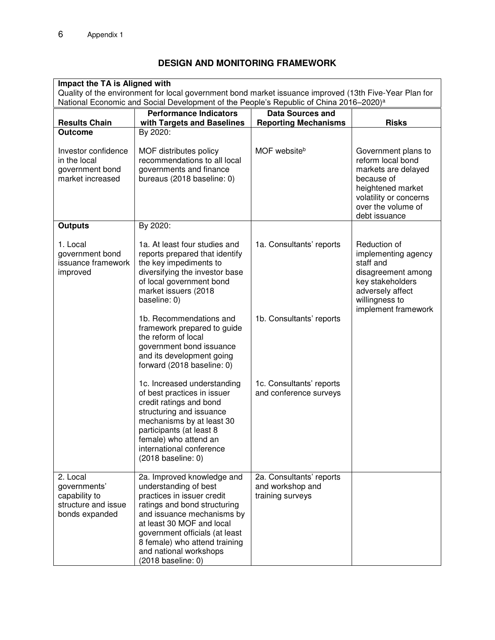# **DESIGN AND MONITORING FRAMEWORK**

| Impact the TA is Aligned with<br>Quality of the environment for local government bond market issuance improved (13th Five-Year Plan for<br>National Economic and Social Development of the People's Republic of China 2016–2020) <sup>a</sup> |                                                                                                                                                                                                                                                                                                 |                                                                  |                                                                                                                                                                     |  |  |
|-----------------------------------------------------------------------------------------------------------------------------------------------------------------------------------------------------------------------------------------------|-------------------------------------------------------------------------------------------------------------------------------------------------------------------------------------------------------------------------------------------------------------------------------------------------|------------------------------------------------------------------|---------------------------------------------------------------------------------------------------------------------------------------------------------------------|--|--|
|                                                                                                                                                                                                                                               |                                                                                                                                                                                                                                                                                                 |                                                                  |                                                                                                                                                                     |  |  |
| <b>Results Chain</b><br><b>Outcome</b>                                                                                                                                                                                                        | with Targets and Baselines<br>By 2020:                                                                                                                                                                                                                                                          | <b>Reporting Mechanisms</b>                                      | <b>Risks</b>                                                                                                                                                        |  |  |
| Investor confidence<br>in the local<br>government bond<br>market increased                                                                                                                                                                    | MOF distributes policy<br>recommendations to all local<br>governments and finance<br>bureaus (2018 baseline: 0)                                                                                                                                                                                 | MOF websiteb                                                     | Government plans to<br>reform local bond<br>markets are delayed<br>because of<br>heightened market<br>volatility or concerns<br>over the volume of<br>debt issuance |  |  |
| <b>Outputs</b>                                                                                                                                                                                                                                | By 2020:                                                                                                                                                                                                                                                                                        |                                                                  |                                                                                                                                                                     |  |  |
| 1. Local<br>government bond<br>issuance framework<br>improved                                                                                                                                                                                 | 1a. At least four studies and<br>reports prepared that identify<br>the key impediments to<br>diversifying the investor base<br>of local government bond<br>market issuers (2018<br>baseline: 0)                                                                                                 | 1a. Consultants' reports                                         | Reduction of<br>implementing agency<br>staff and<br>disagreement among<br>key stakeholders<br>adversely affect<br>willingness to<br>implement framework             |  |  |
|                                                                                                                                                                                                                                               | 1b. Recommendations and<br>framework prepared to guide<br>the reform of local<br>government bond issuance<br>and its development going<br>forward (2018 baseline: 0)                                                                                                                            | 1b. Consultants' reports                                         |                                                                                                                                                                     |  |  |
|                                                                                                                                                                                                                                               | 1c. Increased understanding<br>of best practices in issuer<br>credit ratings and bond<br>structuring and issuance<br>mechanisms by at least 30<br>participants (at least 8<br>female) who attend an<br>international conference<br>$(2018)$ baseline: 0)                                        | 1c. Consultants' reports<br>and conference surveys               |                                                                                                                                                                     |  |  |
| 2. Local<br>governments'<br>capability to<br>structure and issue<br>bonds expanded                                                                                                                                                            | 2a. Improved knowledge and<br>understanding of best<br>practices in issuer credit<br>ratings and bond structuring<br>and issuance mechanisms by<br>at least 30 MOF and local<br>government officials (at least<br>8 female) who attend training<br>and national workshops<br>(2018 baseline: 0) | 2a. Consultants' reports<br>and workshop and<br>training surveys |                                                                                                                                                                     |  |  |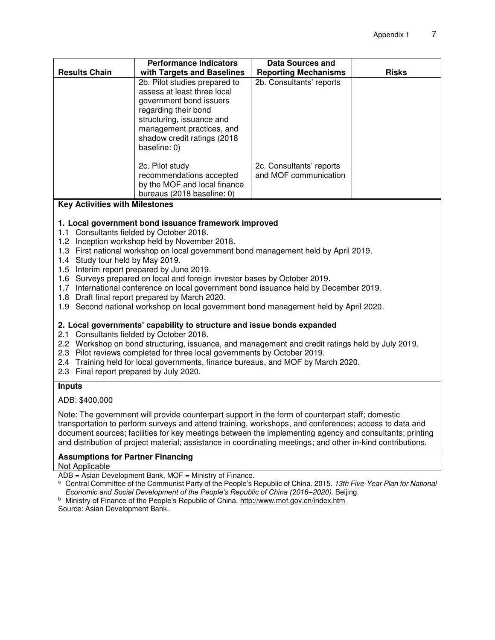| <b>Results Chain</b> | <b>Performance Indicators</b><br>with Targets and Baselines                                                                                                                                                              | Data Sources and<br><b>Reporting Mechanisms</b>   | <b>Risks</b> |
|----------------------|--------------------------------------------------------------------------------------------------------------------------------------------------------------------------------------------------------------------------|---------------------------------------------------|--------------|
|                      | 2b. Pilot studies prepared to<br>assess at least three local<br>government bond issuers<br>regarding their bond<br>structuring, issuance and<br>management practices, and<br>shadow credit ratings (2018<br>baseline: 0) | 2b. Consultants' reports                          |              |
|                      | 2c. Pilot study<br>recommendations accepted<br>by the MOF and local finance<br>bureaus (2018 baseline: 0)                                                                                                                | 2c. Consultants' reports<br>and MOF communication |              |

#### **Key Activities with Milestones**

#### **1. Local government bond issuance framework improved**

- 1.1 Consultants fielded by October 2018.
- 1.2 Inception workshop held by November 2018.
- 1.3 First national workshop on local government bond management held by April 2019.
- 1.4 Study tour held by May 2019.
- 1.5 Interim report prepared by June 2019.
- 1.6 Surveys prepared on local and foreign investor bases by October 2019.
- 1.7 International conference on local government bond issuance held by December 2019.
- 1.8 Draft final report prepared by March 2020.
- 1.9 Second national workshop on local government bond management held by April 2020.

#### **2. Local governments' capability to structure and issue bonds expanded**

- 2.1 Consultants fielded by October 2018.
- 2.2 Workshop on bond structuring, issuance, and management and credit ratings held by July 2019.
- 2.3 Pilot reviews completed for three local governments by October 2019.
- 2.4 Training held for local governments, finance bureaus, and MOF by March 2020.
- 2.3 Final report prepared by July 2020.

#### **Inputs**

ADB: \$400,000

Note: The government will provide counterpart support in the form of counterpart staff; domestic transportation to perform surveys and attend training, workshops, and conferences; access to data and document sources; facilities for key meetings between the implementing agency and consultants; printing and distribution of project material; assistance in coordinating meetings; and other in-kind contributions.

#### **Assumptions for Partner Financing**

Not Applicable

ADB = Asian Development Bank, MOF = Ministry of Finance.

<sup>a</sup> Central Committee of the Communist Party of the People's Republic of China. 2015. 13th Five-Year Plan for National *Economic and Social Development of the People's Republic of China (2016–*2020). Beijing.

<sup>b</sup> Ministry of Finance of the People's Republic of China. <u>http://www.mof.gov.cn/index.htm</u>

Source: Asian Development Bank.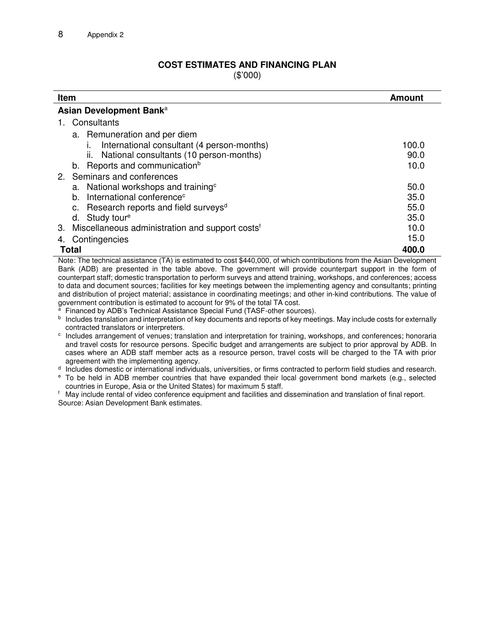# **COST ESTIMATES AND FINANCING PLAN**

(\$'000)

| Item                                                              | Amount |  |  |  |  |
|-------------------------------------------------------------------|--------|--|--|--|--|
| Asian Development Bank <sup>a</sup>                               |        |  |  |  |  |
| Consultants                                                       |        |  |  |  |  |
| a. Remuneration and per diem                                      |        |  |  |  |  |
| International consultant (4 person-months)                        | 100.0  |  |  |  |  |
| ii. National consultants (10 person-months)                       | 90.0   |  |  |  |  |
| Reports and communication <sup>b</sup><br>b.                      | 10.0   |  |  |  |  |
| 2. Seminars and conferences                                       |        |  |  |  |  |
| a. National workshops and training <sup>c</sup>                   | 50.0   |  |  |  |  |
| International conference <sup>c</sup><br>$h_{\cdot}$              | 35.0   |  |  |  |  |
| Research reports and field surveys <sup>d</sup><br>c.             | 55.0   |  |  |  |  |
| Study tour <sup>e</sup><br>d.                                     | 35.0   |  |  |  |  |
| Miscellaneous administration and support costs <sup>f</sup><br>3. | 10.0   |  |  |  |  |
| Contingencies<br>4.                                               | 15.0   |  |  |  |  |
| Total                                                             | 400.0  |  |  |  |  |

Note: The technical assistance (TA) is estimated to cost \$440,000, of which contributions from the Asian Development Bank (ADB) are presented in the table above. The government will provide counterpart support in the form of counterpart staff; domestic transportation to perform surveys and attend training, workshops, and conferences; access to data and document sources; facilities for key meetings between the implementing agency and consultants; printing and distribution of project material; assistance in coordinating meetings; and other in-kind contributions. The value of government contribution is estimated to account for 9% of the total TA cost.

a Financed by ADB's Technical Assistance Special Fund (TASF-other sources).

**b** Includes translation and interpretation of key documents and reports of key meetings. May include costs for externally contracted translators or interpreters.

<sup>c</sup> Includes arrangement of venues; translation and interpretation for training, workshops, and conferences; honoraria and travel costs for resource persons. Specific budget and arrangements are subject to prior approval by ADB. In cases where an ADB staff member acts as a resource person, travel costs will be charged to the TA with prior agreement with the implementing agency.

d Includes domestic or international individuals, universities, or firms contracted to perform field studies and research.

<sup>e</sup> To be held in ADB member countries that have expanded their local government bond markets (e.g., selected countries in Europe, Asia or the United States) for maximum 5 staff.

f May include rental of video conference equipment and facilities and dissemination and translation of final report. Source: Asian Development Bank estimates.